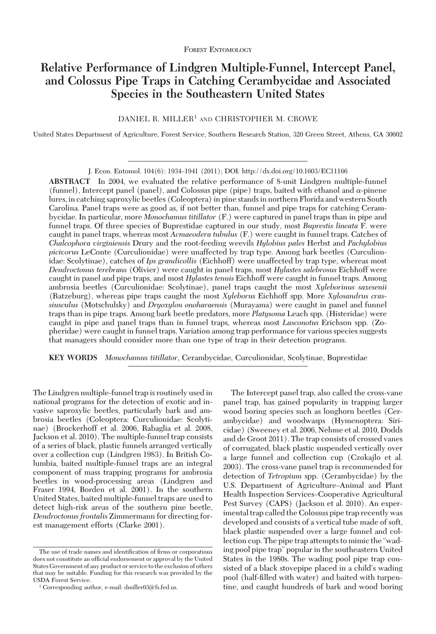# **Relative Performance of Lindgren Multiple-Funnel, Intercept Panel, and Colossus Pipe Traps in Catching Cerambycidae and Associated Species in the Southeastern United States**

# DANIEL R. MILLER<sup>1</sup> AND CHRISTOPHER M. CROWE

United States Department of Agriculture, Forest Service, Southern Research Station, 320 Green Street, Athens, GA 30602

**ABSTRACT** In 2004, we evaluated the relative performance of 8-unit Lindgren multiple-funnel (funnel), Intercept panel (panel), and Colossus pipe (pipe) traps, baited with ethanol and  $\alpha$ -pinene lures, in catching saproxylic beetles (Coleoptera) in pine stands in northern Florida and western South Carolina. Panel traps were as good as, if not better than, funnel and pipe traps for catching Cerambycidae. In particular, more *Monochamus titillator* (F.) were captured in panel traps than in pipe and funnel traps. Of three species of Buprestidae captured in our study, most *Buprestis lineata* F. were caught in panel traps, whereas most *Acmaeodera tubulus* (F.) were caught in funnel traps. Catches of *Chalcophora virginiensis* Drury and the root-feeding weevils *Hylobius pales* Herbst and *Pachylobius picivorus* LeConte (Curculionidae) were unaffected by trap type. Among bark beetles (Curculionidae: Scolytinae), catches of *Ips grandicollis* (Eichhoff) were unaffected by trap type, whereas most *Dendroctonus terebrans* (Olivier) were caught in panel traps, most *Hylastes salebrosus* Eichhoff were caught in panel and pipe traps, and most *Hylastes tenuis* Eichhoff were caught in funnel traps. Among ambrosia beetles (Curculionidae: Scolytinae), panel traps caught the most *Xyleborinus saxesenii* (Ratzeburg), whereas pipe traps caught the most *Xyleborus* Eichhoff spp. More *Xylosandrus crassiusculus* (Motschulsky) and *Dryoxylon onoharaensis* (Murayama) were caught in panel and funnel traps than in pipe traps. Among bark beetle predators, more *Platysoma* Leach spp. (Histeridae) were caught in pipe and panel traps than in funnel traps, whereas most *Lasconotus* Erichson spp. (Zopheridae) were caught in funnel traps. Variation among trap performance for various species suggests that managers should consider more than one type of trap in their detection programs.

**KEY WORDS** *Monochamus titillator*, Cerambycidae, Curculionidae, Scolytinae, Buprestidae

The Lindgren multiple-funnel trap is routinely used in national programs for the detection of exotic and invasive saproxylic beetles, particularly bark and ambrosia beetles (Coleoptera: Curculionidae: Scolytinae) (Brockerhoff et al. 2006, Rabaglia et al. 2008, Jackson et al. 2010). The multiple-funnel trap consists of a series of black, plastic funnels arranged vertically over a collection cup (Lindgren 1983). In British Columbia, baited multiple-funnel traps are an integral component of mass trapping programs for ambrosia beetles in wood-processing areas (Lindgren and Fraser 1994, Borden et al. 2001). In the southern United States, baited multiple-funnel traps are used to detect high-risk areas of the southern pine beetle, *Dendroctonus frontalis* Zimmermann for directing forest management efforts (Clarke 2001).

The Intercept panel trap, also called the cross-vane panel trap, has gained popularity in trapping larger wood boring species such as longhorn beetles (Cerambycidae) and woodwasps (Hymenoptera: Siricidae) (Sweeney et al. 2006, Nehme et al. 2010, Dodds and de Groot 2011). The trap consists of crossed vanes of corrugated, black plastic suspended vertically over a large funnel and collection cup (Czokajlo et al. 2003). The cross-vane panel trap is recommended for detection of *Tetropium* spp. (Cerambycidae) by the U.S. Department of Agriculture-Animal and Plant Health Inspection Services–Cooperative Agricultural Pest Survey (CAPS) (Jackson et al. 2010). An experimental trap called the Colossus pipe trap recently was developed and consists of a vertical tube made of soft, black plastic suspended over a large funnel and collection cup. The pipe trap attempts to mimic the "wading pool pipe trap" popular in the southeastern United States in the 1980s. The wading pool pipe trap consisted of a black stovepipe placed in a child's wading pool (half-filled with water) and baited with turpentine, and caught hundreds of bark and wood boring

J. Econ. Entomol. 104(6): 1934–1941 (2011); DOI: http://dx.doi.org/10.1603/EC11166

The use of trade names and identification of firms or corporations does not constitute an official endorsement or approval by the United States Government of any product or service to the exclusion of others that may be suitable. Funding for this research was provided by the USDA Forest Service.

<sup>1</sup> Corresponding author, e-mail: dmiller03@fs.fed.us.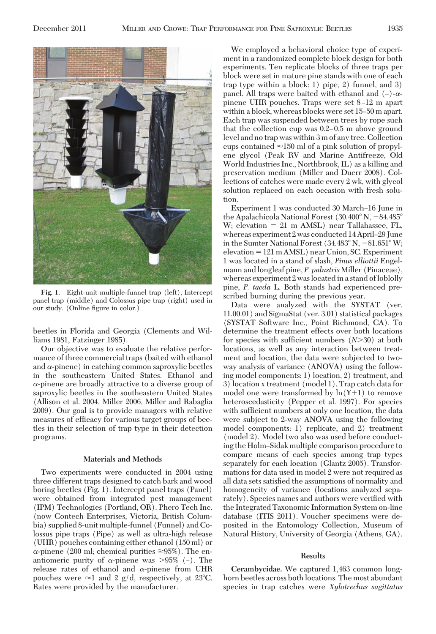

**Fig. 1.** Eight-unit multiple-funnel trap (left), Intercept panel trap (middle) and Colossus pipe trap (right) used in our study. (Online figure in color.)

beetles in Florida and Georgia (Clements and Williams 1981, Fatzinger 1985).

Our objective was to evaluate the relative performance of three commercial traps (baited with ethanol and  $\alpha$ -pinene) in catching common saproxylic beetles in the southeastern United States. Ethanol and  $\alpha$ -pinene are broadly attractive to a diverse group of saproxylic beetles in the southeastern United States (Allison et al. 2004, Miller 2006, Miller and Rabaglia 2009). Our goal is to provide managers with relative measures of efficacy for various target groups of beetles in their selection of trap type in their detection programs.

### **Materials and Methods**

Two experiments were conducted in 2004 using three different traps designed to catch bark and wood boring beetles (Fig. 1). Intercept panel traps (Panel) were obtained from integrated pest management (IPM) Technologies (Portland, OR). Phero Tech Inc. (now Contech Enterprises, Victoria, British Columbia) supplied 8-unit multiple-funnel (Funnel) and Colossus pipe traps (Pipe) as well as ultra-high release (UHR) pouches containing either ethanol (150 ml) or  $\alpha$ -pinene (200 ml; chemical purities  $\geq$ 95%). The enantiomeric purity of  $\alpha$ -pinene was >95% (-). The release rates of ethanol and  $\alpha$ -pinene from UHR pouches were  $\approx$ 1 and 2 g/d, respectively, at 23 $^{\circ}$ C. Rates were provided by the manufacturer.

We employed a behavioral choice type of experiment in a randomized complete block design for both experiments. Ten replicate blocks of three traps per block were set in mature pine stands with one of each trap type within a block: 1) pipe, 2) funnel, and 3) panel. All traps were baited with ethanol and  $(-)$ - $\alpha$ pinene UHR pouches. Traps were set 8 Ð12 m apart within a block, whereas blocks were set 15–50 m apart. Each trap was suspended between trees by rope such that the collection cup was  $0.2-0.5$  m above ground level and no trap was within 3 m of any tree. Collection cups contained  $\approx$ 150 ml of a pink solution of propylene glycol (Peak RV and Marine Antifreeze, Old World Industries Inc., Northbrook, IL) as a killing and preservation medium (Miller and Duerr 2008). Collections of catches were made every 2 wk, with glycol solution replaced on each occasion with fresh solution.

Experiment 1 was conducted 30 March–16 June in the Apalachicola National Forest  $(30.400^{\circ} N, -84.485^{\circ}$ W; elevation  $= 21$  m AMSL) near Tallahassee, FL, whereas experiment  $2$  was conducted  $14$  April $-29$  June in the Sumter National Forest  $(34.483^\circ N, -81.651^\circ W;$ elevation = 121 m AMSL) near Union, SC. Experiment 1 was located in a stand of slash, *Pinus elliottii* Engelmann and longleaf pine, *P. palustris* Miller (Pinaceae), whereas experiment 2 was located in a stand of loblolly pine, *P. taeda* L. Both stands had experienced prescribed burning during the previous year.

Data were analyzed with the SYSTAT (ver. 11.00.01) and SigmaStat (ver. 3.01) statistical packages (SYSTAT Software Inc., Point Richmond, CA). To determine the treatment effects over both locations for species with sufficient numbers  $(N>30)$  at both locations, as well as any interaction between treatment and location, the data were subjected to twoway analysis of variance (ANOVA) using the following model components: 1) location, 2) treatment, and 3) location x treatment (model 1). Trap catch data for model one were transformed by  $\ln(Y+1)$  to remove heteroscedasticity (Pepper et al. 1997). For species with sufficient numbers at only one location, the data were subject to 2-way ANOVA using the following model components: 1) replicate, and 2) treatment (model 2). Model two also was used before conducting the Holm–Sidak multiple comparison procedure to compare means of each species among trap types separately for each location (Glantz 2005). Transformations for data used in model 2 were not required as all data sets satisfied the assumptions of normality and homogeneity of variance (locations analyzed separately). Species names and authors were verified with the Integrated Taxonomic Information System on-line database (ITIS 2011). Voucher specimens were deposited in the Entomology Collection, Museum of Natural History, University of Georgia (Athens, GA).

#### **Results**

**Cerambycidae.** We captured 1,463 common longhorn beetles across both locations. The most abundant species in trap catches were *Xylotrechus sagittatus*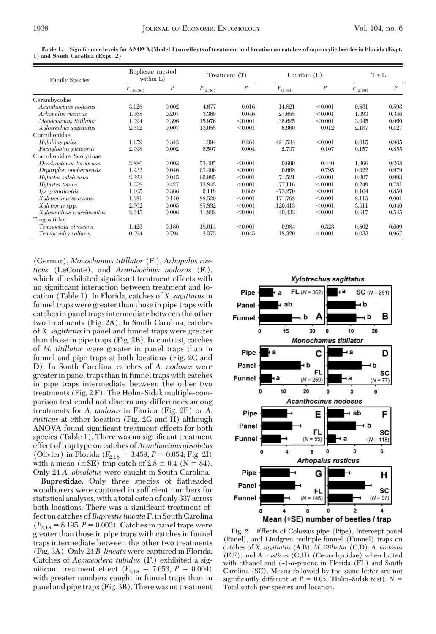| <b>Family Species</b>     | Replicate (nested<br>within $L$ ) |                  | Treatment (T) |                  | Location $(L)$ |                  | T x L        |                  |
|---------------------------|-----------------------------------|------------------|---------------|------------------|----------------|------------------|--------------|------------------|
|                           | $F_{(18,36)}$                     | $\boldsymbol{P}$ | $F_{(2,36)}$  | $\boldsymbol{P}$ | $F_{(1,36)}$   | $\boldsymbol{P}$ | $F_{(2,36)}$ | $\boldsymbol{P}$ |
| Cerambycidae              |                                   |                  |               |                  |                |                  |              |                  |
| Acanthocinus nodosus      | 3.126                             | 0.002            | 4.677         | 0.016            | 14.821         | < 0.001          | 0.531        | 0.593            |
| Arhopalus rusticus        | 1.368                             | 0.207            | 3.369         | 0.046            | 27.655         | < 0.001          | 1.093        | 0.346            |
| Monochamus titillator     | 1.094                             | 0.396            | 15.976        | < 0.001          | 36.625         | < 0.001          | 3.045        | 0.060            |
| Xylotrechus sagittatus    | 2.612                             | 0.007            | 13.058        | < 0.001          | 6.960          | 0.012            | 2.187        | 0.127            |
| Curculionidae             |                                   |                  |               |                  |                |                  |              |                  |
| Hylobius pales            | 1.159                             | 0.342            | 1.394         | 0.261            | 421.534        | < 0.001          | 0.015        | 0.985            |
| Pachylobius picivorus     | 2.998                             | 0.002            | 6.507         | 0.004            | 2.737          | 0.107            | 0.157        | 0.855            |
| Curculionidae: Scolytinae |                                   |                  |               |                  |                |                  |              |                  |
| Dendroctonus terebrans    | 2.886                             | 0.003            | 53.405        | < 0.001          | 0.609          | 0.440            | 1.366        | 0.268            |
| Dryoxylon onoharaensis    | 1.932                             | 0.046            | 63.406        | < 0.001          | 0.068          | 0.795            | 0.022        | 0.979            |
| Hylastes salebrosus       | 2.323                             | 0.015            | 60.985        | < 0.001          | 71.521         | < 0.001          | 0.007        | 0.993            |
| Hylastes tenuis           | 1.059                             | 0.427            | 13.842        | < 0.001          | 77.116         | < 0.001          | 0.249        | 0.781            |
| Ips grandicollis          | 1.105                             | 0.386            | 0.118         | 0.889            | 473.270        | < 0.001          | 0.164        | 0.850            |
| Xyleborinus saxesenii     | 1.581                             | 0.119            | 88.520        | < 0.001          | 171.768        | < 0.001          | 8.115        | 0.001            |
| Xyleborus spp.            | 2.702                             | 0.005            | 85.832        | < 0.001          | 120.413        | < 0.001          | 3.511        | 0.040            |
| Xylosandrus crassiusculus | 2.645                             | 0.006            | 11.832        | < 0.001          | 40.433         | < 0.001          | 0.617        | 0.545            |
| Trogositidae              |                                   |                  |               |                  |                |                  |              |                  |
| Temnochila virescens      | 1.423                             | 0.180            | 18.014        | < 0.001          | 0.984          | 0.328            | 0.502        | 0.609            |
| Tenebroides collaris      | 0.694                             | 0.794            | 3.375         | 0.045            | 18.320         | < 0.001          | 0.033        | 0.967            |

**Table 1. Significance levels for ANOVA (Model 1) on effects of treatment and location on catches of saproxylic beetles in Florida (Expt. 1) and South Carolina (Expt. 2)**

(Germar), *Monochamus titillator* (F.), *Arhopalus rusticus* (LeConte), and *Acanthocinus nodosus* (F.), which all exhibited significant treatment effects with no significant interaction between treatment and location (Table 1). In Florida, catches of *X. sagittatus* in funnel traps were greater than those in pipe traps with catches in panel traps intermediate between the other two treatments (Fig. 2A). In South Carolina, catches of *X. sagittatus* in panel and funnel traps were greater than those in pipe traps (Fig. 2B). In contrast, catches of *M. titillator* were greater in panel traps than in funnel and pipe traps at both locations (Fig. 2C and D). In South Carolina, catches of *A. nodosus* were greater in panel traps than in funnel traps with catches in pipe traps intermediate between the other two treatments (Fig.  $2 \text{ F}$ ). The Holm–Sidak multiple-comparison test could not discern any differences among treatments for *A. nodosus* in Florida (Fig. 2E) or *A. rusticus* at either location (Fig. 2G and H) although ANOVA found significant treatment effects for both species (Table 1). There was no significant treatment effect of trap type on catches of*Acanthocinus obsoletus* (Olivier) in Florida ( $F_{2,18} = 3.459, P = 0.054$ ; Fig. 2I) with a mean  $(\pm \text{SE})$  trap catch of 2.8  $\pm$  0.4 (*N* = 84). Only 24 *A. obsoletus* were caught in South Carolina.

**Buprestidae.** Only three species of ßatheaded woodborers were captured in sufficient numbers for statistical analyses, with a total catch of only 337 across both locations. There was a significant treatment effect on catches of*Buprestis lineata*F. in South Carolina  $(F_{2,18} = 8.195, P = 0.003)$ . Catches in panel traps were greater than those in pipe traps with catches in funnel traps intermediate between the other two treatments (Fig. 3A). Only 24 *B. lineata* were captured in Florida. Catches of *Acmaeodera tubulus* (F.) exhibited a significant treatment effect ( $F_{2,18} = 7.653$ ,  $P = 0.004$ ) with greater numbers caught in funnel traps than in panel and pipe traps (Fig. 3B). There was no treatment



**Fig. 2.** Effects of Colossus pipe (Pipe), Intercept panel (Panel), and Lindgren multiple-funnel (Funnel) traps on catches of *X*. *sagittatus* (A,B); *M*. *titillator* (C,D); *A*. *nodosus* (E,F); and *A*. *rusticus* (G,H) (Cerambycidae) when baited with ethanol and  $(-)$ - $\alpha$ -pinene in Florida (FL) and South Carolina (SC). Means followed by the same letter are not significantly different at  $P = 0.05$  (Holm–Sidak test).  $N =$ Total catch per species and location.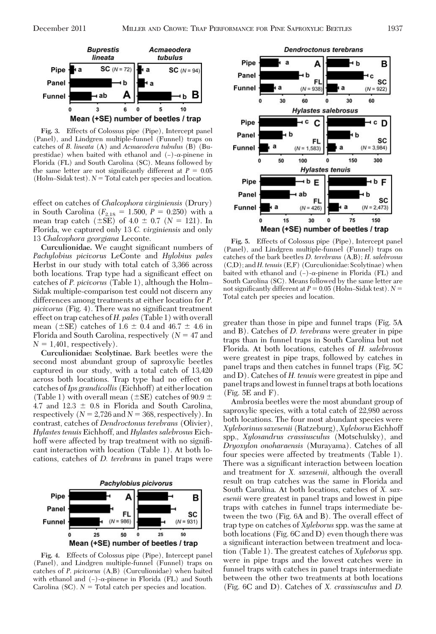

**Fig. 3.** Effects of Colossus pipe (Pipe), Intercept panel (Panel), and Lindgren multiple-funnel (Funnel) traps on catches of *B*. *lineata* (A) and *Acmaeodera tubulus* (B) (Buprestidae) when baited with ethanol and  $(-)$ - $\alpha$ -pinene in Florida (FL) and South Carolina (SC). Means followed by the same letter are not significantly different at  $P = 0.05$ (Holm–Sidak test).  $N =$  Total catch per species and location.

effect on catches of *Chalcophora virginiensis* (Drury) in South Carolina ( $F_{2,18} = 1.500$ ,  $P = 0.250$ ) with a mean trap catch  $(\pm \overline{\text{SE}})$  of 4.0  $\pm$  0.7 (*N* = 121). In Florida, we captured only 13 *C. virginiensis* and only 13 *Chalcophora georgiana* Leconte.

Curculionidae. We caught significant numbers of *Pachylobius picivorus* LeConte and *Hylobius pales* Herbst in our study with total catch of 3,366 across both locations. Trap type had a significant effect on catches of *P. picivorus* (Table 1), although the Holm– Sidak multiple-comparison test could not discern any differences among treatments at either location for *P. picivorus* (Fig. 4). There was no significant treatment effect on trap catches of*H. pales* (Table 1) with overall mean ( $\pm$ SE) catches of 1.6  $\pm$  0.4 and 46.7  $\pm$  4.6 in Florida and South Carolina, respectively (*N* = 47 and  $N = 1,401$ , respectively).

**Curculionidae: Scolytinae.** Bark beetles were the second most abundant group of saproxylic beetles captured in our study, with a total catch of 13,420 across both locations. Trap type had no effect on catches of*Ips grandicollis* (Eichhoff) at eitherlocation (Table 1) with overall mean ( $\pm$ SE) catches of 90.9  $\pm$ 4.7 and 12.3  $\pm$  0.8 in Florida and South Carolina, respectively  $(N = 2,726$  and  $N = 368$ , respectively). In contrast, catches of *Dendroctonus terebrans* (Olivier), *Hylastes tenuis* Eichhoff, and *Hylastes salebrosus* Eichhoff were affected by trap treatment with no significant interaction with location (Table 1). At both locations, catches of *D. terebrans* in panel traps were



**Fig. 4.** Effects of Colossus pipe (Pipe), Intercept panel (Panel), and Lindgren multiple-funnel (Funnel) traps on catches of *P*. *picivorus* (A,B) (Curculionidae) when baited with ethanol and  $(-)$ - $\alpha$ -pinene in Florida (FL) and South Carolina (SC).  $N =$  Total catch per species and location.



**Fig. 5.** Effects of Colossus pipe (Pipe), Intercept panel (Panel), and Lindgren multiple-funnel (Funnel) traps on catches of the bark beetles *D*. *terebrans* (A,B); *H*. *salebrosus* (C,D); and*H*.*tenuis* (E,F) (Curculionidae: Scolytinae) when baited with ethanol and  $(-)$ - $\alpha$ -pinene in Florida (FL) and South Carolina (SC). Means followed by the same letter are not significantly different at  $P = 0.05$  (Holm–Sidak test).  $N =$ Total catch per species and location.

greater than those in pipe and funnel traps (Fig. 5A and B). Catches of *D. terebrans* were greater in pipe traps than in funnel traps in South Carolina but not Florida. At both locations, catches of *H. salebrosus* were greatest in pipe traps, followed by catches in panel traps and then catches in funnel traps (Fig. 5C and D). Catches of *H. tenuis* were greatest in pipe and panel traps and lowest in funnel traps at both locations (Fig. 5E and F).

Ambrosia beetles were the most abundant group of saproxylic species, with a total catch of 22,980 across both locations. The four most abundant species were *Xyleborinus saxesenii* (Ratzeburg),*Xyleborus*Eichhoff spp., *Xylosandrus crassiusculus* (Motschulsky), and *Dryoxylon onoharaensis* (Murayama). Catches of all four species were affected by treatments (Table 1). There was a significant interaction between location and treatment for *X. saxesenii,* although the overall result on trap catches was the same in Florida and South Carolina. At both locations, catches of *X. saxesenii* were greatest in panel traps and lowest in pipe traps with catches in funnel traps intermediate between the two (Fig. 6A and B). The overall effect of trap type on catches of *Xyleborus* spp. was the same at both locations (Fig. 6C and D) even though there was a significant interaction between treatment and location (Table 1). The greatest catches of *Xyleborus* spp. were in pipe traps and the lowest catches were in funnel traps with catches in panel traps intermediate between the other two treatments at both locations (Fig. 6C and D). Catches of *X. crassiusculus* and *D.*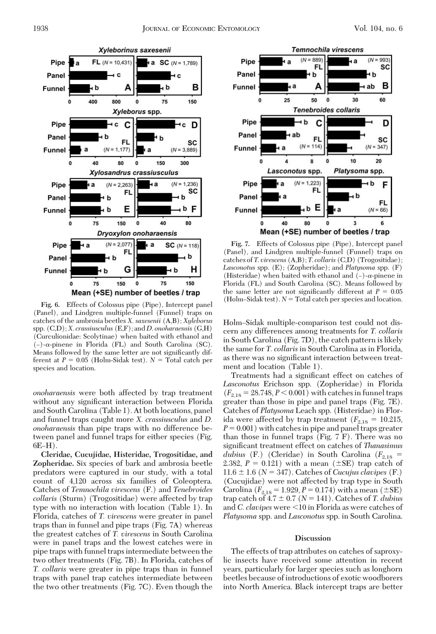

**Fig. 6.** Effects of Colossus pipe (Pipe), Intercept panel (Panel), and Lindgren multiple-funnel (Funnel) traps on catches of the ambrosia beetles *X*. *saxesenii* (A,B); *Xyleborus* spp. (C,D);*X*. *crassiusculus* (E,F); and*D*. *onoharaensis* (G,H) (Curculionidae: Scolytinae) when baited with ethanol and  $(-)$ - $\alpha$ -pinene in Florida (FL) and South Carolina (SC). Means followed by the same letter are not significantly different at  $P = 0.05$  (Holm-Sidak test).  $N =$  Total catch per species and location.

*onoharaensis* were both affected by trap treatment without any significant interaction between Florida and South Carolina (Table 1). At both locations, panel and funnel traps caught more *X. crassiusculus* and *D. onoharaensis* than pipe traps with no difference between panel and funnel traps for either species (Fig.  $6E-H$ ).

**Cleridae, Cucujidae, Histeridae, Trogositidae, and Zopheridae.** Six species of bark and ambrosia beetle predators were captured in our study, with a total count of 4,120 across six families of Coleoptera. Catches of *Temnochila virescens* (F.) and *Tenebroides collaris* (Sturm) (Trogositidae) were affected by trap type with no interaction with location (Table 1). In Florida, catches of *T. virescens* were greater in panel traps than in funnel and pipe traps (Fig. 7A) whereas the greatest catches of *T. virescens* in South Carolina were in panel traps and the lowest catches were in pipe traps with funnel traps intermediate between the two other treatments (Fig. 7B). In Florida, catches of *T. collaris* were greater in pipe traps than in funnel traps with panel trap catches intermediate between the two other treatments (Fig. 7C). Even though the



**Fig. 7.** Effects of Colossus pipe (Pipe), Intercept panel (Panel), and Lindgren multiple-funnel (Funnel) traps on catches of*T*. *virescens* (A,B);*T*. *collaris* (C,D) (Trogositidae); *Lasconotus* spp. (E); (Zopheridae); and *Platysoma* spp. (F) (Histeridae) when baited with ethanol and  $(-)$ - $\alpha$ -pinene in Florida (FL) and South Carolina (SC). Means followed by the same letter are not significantly different at  $P = 0.05$ (Holm–Sidak test).  $N =$  Total catch per species and location.

Holm–Sidak multiple-comparison test could not discern any differences among treatments for *T. collaris* in South Carolina (Fig. 7D), the catch pattern is likely the same for *T. collaris* in South Carolina as in Florida, as there was no significant interaction between treatment and location (Table 1).

Treatments had a significant effect on catches of *Lasconotus* Erichson spp. (Zopheridae) in Florida  $(F_{2,18} = 28.748, P \le 0.001)$  with catches in funnel traps greater than those in pipe and panel traps (Fig. 7E). Catches of *Platysoma* Leach spp. (Histeridae) in Florida were affected by trap treatment  $(F_{2,18} = 10.215,$  $P = 0.001$ ) with catches in pipe and panel traps greater than those in funnel traps (Fig. 7 F). There was no significant treatment effect on catches of *Thanasimus dubius* (F.) (Cleridae) in South Carolina ( $F_{2,18}$  = 2.382,  $P = 0.121$ ) with a mean ( $\pm$ SE) trap catch of  $11.6 \pm 1.6$  ( $N = 347$ ). Catches of *Cucujus clavipes* (F.) (Cucujidae) were not affected by trap type in South Carolina  $(F_{2,18} = 1.929, P = 0.174)$  with a mean ( $\pm$ SE) trap catch of  $4.7 \pm 0.7$  ( $N = 141$ ). Catches of *T. dubius* and *C. clavipes* were <10 in Florida as were catches of *Platysoma* spp. and *Lasconotus* spp. in South Carolina.

#### **Discussion**

The effects of trap attributes on catches of saproxylic insects have received some attention in recent years, particularly for larger species such as longhorn beetles because of introductions of exotic woodborers into North America. Black intercept traps are better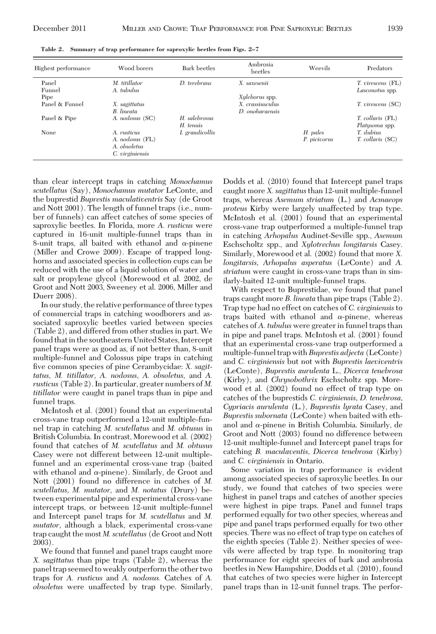| Highest performance | Wood borers     | Bark beetles    | Ambrosia<br>beetles | Weevils      | Predators         |
|---------------------|-----------------|-----------------|---------------------|--------------|-------------------|
| Panel               | M. titillator   | D. terebrans    | X. saxesenii        |              | T. virescens (FL) |
| Funnel              | A. tubulus      |                 |                     |              | Lasconotus spp.   |
| Pipe                |                 |                 | Xyleborus spp.      |              |                   |
| Panel & Funnel      | X. sagittatus   |                 | X. crassiusculus    |              | T. virescens (SC) |
|                     | B. lineata      |                 | D. onoharaensis     |              |                   |
| Panel & Pipe        | A. nodosus (SC) | H. salebrosus   |                     |              | T. collaris (FL)  |
|                     |                 | H. tenuis       |                     |              | Platysoma spp.    |
| None                | A. rusticus     | I. grandicollis |                     | H. pales     | T. dubius         |
|                     | A. nodosus (FL) |                 |                     | P. picivorus | T. collaris (SC)  |
|                     | A. obsoletus    |                 |                     |              |                   |
|                     | C. virginiensis |                 |                     |              |                   |
|                     |                 |                 |                     |              |                   |

**Table 2. Summary of trap performance for saproxylic beetles from Figs. 2–7**

than clear intercept traps in catching *Monochamus scutellatus* (Say), *Monochamus mutator* LeConte, and the buprestid *Buprestis maculativentris* Say (de Groot and Nott 2001). The length of funnel traps (i.e., number of funnels) can affect catches of some species of saproxylic beetles. In Florida, more *A. rusticus* were captured in 16-unit multiple-funnel traps than in 8-unit traps, all baited with ethanol and  $\alpha$ -pinene (Miller and Crowe 2009). Escape of trapped longhorns and associated species in collection cups can be reduced with the use of a liquid solution of water and salt or propylene glycol (Morewood et al. 2002, de Groot and Nott 2003, Sweeney et al. 2006, Miller and Duerr 2008).

In our study, the relative performance of three types of commercial traps in catching woodborers and associated saproxylic beetles varied between species (Table 2), and differed from other studies in part. We found that in the southeastern United States, Intercept panel traps were as good as, if not better than, 8-unit multiple-funnel and Colossus pipe traps in catching five common species of pine Cerambycidae: *X. sagittatus, M. titillator, A. nodosus, A. obsoletus,* and *A. rusticus* (Table 2). In particular, greater numbers of *M. titillator* were caught in panel traps than in pipe and funnel traps.

McIntosh et al. (2001) found that an experimental cross-vane trap outperformed a 12-unit multiple-funnel trap in catching *M. scutellatus* and *M. obtusus* in British Columbia. In contrast, Morewood et al. (2002) found that catches of *M. scutellatus* and *M. obtusus* Casey were not different between 12-unit multiplefunnel and an experimental cross-vane trap (baited with ethanol and  $\alpha$ -pinene). Similarly, de Groot and Nott (2001) found no difference in catches of *M. scutellatus, M. mutator,* and *M. notatus* (Drury) between experimental pipe and experimental cross-vane intercept traps, or between 12-unit multiple-funnel and Intercept panel traps for *M. scutellatus* and *M. mutator,* although a black, experimental cross-vane trap caught the most *M. scutellatus* (de Groot and Nott 2003).

We found that funnel and panel traps caught more *X. sagittatus* than pipe traps (Table 2), whereas the panel trap seemed to weakly outperform the other two traps for *A. rusticus* and *A. nodosus.* Catches of *A. obsoletus* were unaffected by trap type. Similarly,

Dodds et al. (2010) found that Intercept panel traps caught more *X. sagittatus*than 12-unit multiple-funnel traps, whereas *Asemum striatum* (L.) and *Acmaeops proteus* Kirby were largely unaffected by trap type. McIntosh et al. (2001) found that an experimental cross-vane trap outperformed a multiple-funnel trap in catching *Arhopalus* Audinet-Seville spp., *Asemum* Eschscholtz spp., and *Xylotrechus longitarsis* Casey. Similarly, Morewood et al. (2002) found that more *X. longitarsis, Arhopalus asperatus* (LeConte) and *A. striatum* were caught in cross-vane traps than in similarly-baited 12-unit multiple-funnel traps.

With respect to Buprestidae, we found that panel traps caught more *B. lineata* than pipe traps (Table 2). Trap type had no effect on catches of *C. virginiensis*to traps baited with ethanol and  $\alpha$ -pinene, whereas catches of *A. tubulus* were greater in funnel traps than in pipe and panel traps. McIntosh et al. (2001) found that an experimental cross-vane trap outperformed a multiple-funnel trap with*Buprestis adjecta* (LeConte) and *C. virginiensis* but not with *Buprestis laeviventris* (LeConte), *Buprestis aurulenta* L., *Dicerca tenebrosa* (Kirby), and *Chrysobothrix* Eschscholtz spp. Morewood et al. (2002) found no effect of trap type on catches of the buprestids *C. virginiensis, D. tenebrosa, Cypriacis aurulenta* (L.), *Buprestis lyrata* Casey, and *Buprestis subornata* (LeConte) when baited with ethanol and  $\alpha$ -pinene in British Columbia. Similarly, de Groot and Nott (2003) found no difference between 12-unit multiple-funnel and Intercept panel traps for catching *B. maculaventis, Dicerca tenebrosa* (Kirby) and *C. virginiensis* in Ontario.

Some variation in trap performance is evident among associated species of saproxylic beetles. In our study, we found that catches of two species were highest in panel traps and catches of another species were highest in pipe traps. Panel and funnel traps performed equally for two other species, whereas and pipe and panel traps performed equally for two other species. There was no effect of trap type on catches of the eighth species (Table 2). Neither species of weevils were affected by trap type. In monitoring trap performance for eight species of bark and ambrosia beetles in New Hampshire, Dodds et al. (2010), found that catches of two species were higher in Intercept panel traps than in 12-unit funnel traps. The perfor-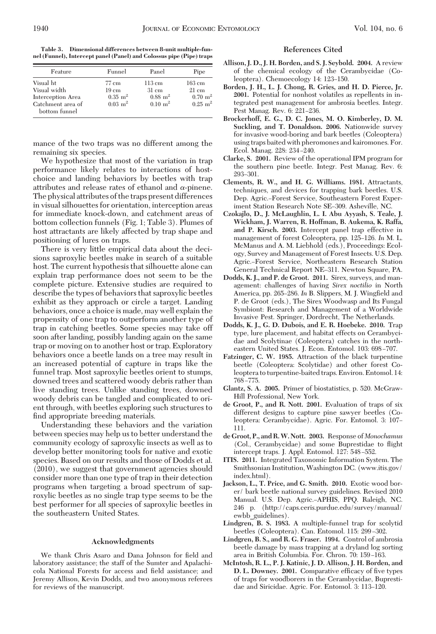**Table 3. Dimensional differences between 8-unit multiple-funnel (Funnel), Intercept panel (Panel) and Colossus pipe (Pipe) traps**

| Feature                            | Funnel                 | Panel                  | Pipe                   |
|------------------------------------|------------------------|------------------------|------------------------|
| Visual ht                          | 77 cm                  | 113 cm                 | 163 cm                 |
| Visual width                       | $19 \text{ cm}$        | $31 \text{ cm}$        | $21 \text{ cm}$        |
| Interception Area                  | $0.35 \; \mathrm{m}^2$ | $0.88 \; \mathrm{m}^2$ | $0.70 \;{\rm m}^2$     |
| Catchment area of<br>bottom funnel | $0.03 \; \mathrm{m}^2$ | $0.10 \text{ m}^2$     | $0.25 \; \mathrm{m}^2$ |

mance of the two traps was no different among the remaining six species.

We hypothesize that most of the variation in trap performance likely relates to interactions of hostchoice and landing behaviors by beetles with trap attributes and release rates of ethanol and  $\alpha$ -pinene. The physical attributes of the traps present differences in visual silhouettes for orientation, interception areas for immediate knock-down, and catchment areas of bottom collection funnels (Fig. 1; Table 3). Plumes of host attractants are likely affected by trap shape and positioning of lures on traps.

There is very little empirical data about the decisions saproxylic beetles make in search of a suitable host. The current hypothesis that silhouette alone can explain trap performance does not seem to be the complete picture. Extensive studies are required to describe the types of behaviors that saproxylic beetles exhibit as they approach or circle a target. Landing behaviors, once a choice is made, may well explain the propensity of one trap to outperform another type of trap in catching beetles. Some species may take off soon after landing, possibly landing again on the same trap or moving on to another host or trap. Exploratory behaviors once a beetle lands on a tree may result in an increased potential of capture in traps like the funnel trap. Most saproxylic beetles orient to stumps, downed trees and scattered woody debris rather than live standing trees. Unlike standing trees, downed woody debris can be tangled and complicated to orient through, with beetles exploring such structures to find appropriate breeding materials.

Understanding these behaviors and the variation between species may help us to better understand the community ecology of saproxylic insects as well as to develop better monitoring tools for native and exotic species. Based on our results and those of Dodds et al. (2010), we suggest that government agencies should consider more than one type of trap in their detection programs when targeting a broad spectrum of saproxylic beetles as no single trap type seems to be the best performer for all species of saproxylic beetles in the southeastern United States.

## **Acknowledgments**

We thank Chris Asaro and Dana Johnson for field and laboratory assistance; the staff of the Sumter and Apalachicola National Forests for access and field assistance; and Jeremy Allison, Kevin Dodds, and two anonymous referees for reviews of the manuscript.

#### **References Cited**

- **Allison, J. D., J. H. Borden, and S. J. Seybold. 2004.** A review of the chemical ecology of the Cerambycidae (Coleoptera). Chemoecology 14: 123–150.
- **Borden, J. H., L. J. Chong, R. Gries, and H. D. Pierce, Jr. 2001.** Potential for nonhost volatiles as repellents in integrated pest management for ambrosia beetles. Integr. Pest Manag. Rev. 6: 221-236.
- **Brockerhoff, E. G., D. C. Jones, M. O. Kimberley, D. M. Suckling, and T. Donaldson. 2006.** Nationwide survey for invasive wood-boring and bark beetles (Coleoptera) using traps baited with pheromones and kairomones. For. Ecol. Manag. 228: 234-240.
- **Clarke, S. 2001.** Review of the operational IPM program for the southern pine beetle. Integr. Pest Manag. Rev. 6: 293–301.
- **Clements, R. W., and H. G. Williams. 1981.** Attractants, techniques, and devices for trapping bark beetles. U.S. Dep. Agric.-Forest Service, Southeastern Forest Experiment Station Research Note SE-309. Asheville, NC.
- **Czokajlo, D., J. McLaughlin, L. I. Abu Ayyash, S. Teale, J. Wickham, J. Warren, R. Hoffman, B. Aukema, K. Raffa, and P. Kirsch. 2003.** Intercept panel trap effective in management of forest Coleoptera, pp. 125–126. *In* M. L. McManus and A. M. Liebhold (eds.), Proceedings: Ecology, Survey and Management of Forest Insects. U.S. Dep. Agric.–Forest Service, Northeastern Research Station General Technical Report NE-311. Newton Square, PA.
- **Dodds, K. J., and P. de Groot. 2011.** Sirex, surveys, and management: challenges of having *Sirex noctilio* in North America, pp. 265–286. *In* B. Slippers, M. J. Wingfield and P. de Groot (eds.), The Sirex Woodwasp and Its Fungal Symbiont: Research and Management of a Worldwide Invasive Pest. Springer, Dordrecht, The Netherlands.
- **Dodds, K. J., G. D. Dubois, and E. R. Hoebeke. 2010.** Trap type, lure placement, and habitat effects on Cerambycidae and Scolytinae (Coleoptera) catches in the northeastern United States. J. Econ. Entomol. 103: 698-707.
- **Fatzinger, C. W. 1985.** Attraction of the black turpentine beetle (Coleoptera: Scolytidae) and other forest Coleoptera to turpentine-baited traps. Environ. Entomol. 14: 768-775.
- **Glantz, S. A. 2005.** Primer of biostatistics, p. 520. McGraw-Hill Professional, New York.
- **de Groot, P., and R. Nott. 2001.** Evaluation of traps of six different designs to capture pine sawyer beetles (Coleoptera: Cerambycidae). Agric. For. Entomol. 3: 107– 111.
- **de Groot, P., and R.W. Nott. 2003.** Response of *Monochamus* (Col., Cerambycidae) and some Buprestidae to ßight intercept traps. J. Appl. Entomol. 127: 548-552.
- **ITIS. 2011.** Integrated Taxonomic Information System. The Smithsonian Institution, Washington DC. (www.itis.gov/ index.html).
- **Jackson, L., T. Price, and G. Smith. 2010.** Exotic wood borer/ bark beetle national survey guidelines. Revised 2010 Manual. U.S. Dep. Agric.-APHIS, PPQ. Raleigh, NC. 246 p. (http://caps.ceris.purdue.edu/survey/manual/ ewbb guidelines).
- **Lindgren, B. S. 1983.** A multiple-funnel trap for scolytid beetles (Coleoptera). Can. Entomol. 115: 299-302.
- **Lindgren, B. S., and R. G. Fraser. 1994.** Control of ambrosia beetle damage by mass trapping at a dryland log sorting area in British Columbia. For. Chron. 70: 159-163.
- **McIntosh, R. L., P. J. Katinic, J. D. Allison, J. H. Borden, and** D. L. Downey. 2001. Comparative efficacy of five types of traps for woodborers in the Cerambycidae, Buprestidae and Siricidae. Agric. For. Entomol. 3: 113-120.